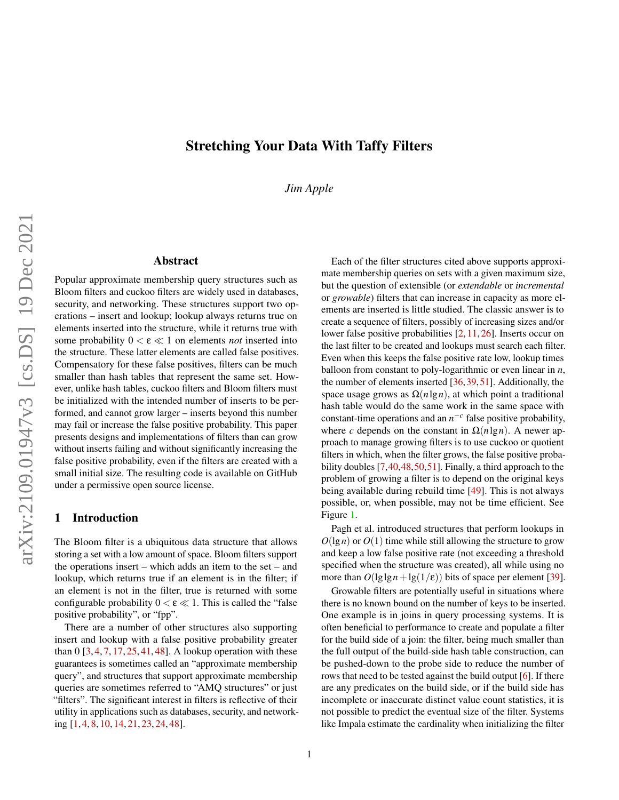# Stretching Your Data With Taffy Filters

*Jim Apple*

### Abstract

Popular approximate membership query structures such as Bloom filters and cuckoo filters are widely used in databases, security, and networking. These structures support two operations – insert and lookup; lookup always returns true on elements inserted into the structure, while it returns true with some probability  $0 < \varepsilon \ll 1$  on elements *not* inserted into the structure. These latter elements are called false positives. Compensatory for these false positives, filters can be much smaller than hash tables that represent the same set. However, unlike hash tables, cuckoo filters and Bloom filters must be initialized with the intended number of inserts to be performed, and cannot grow larger – inserts beyond this number may fail or increase the false positive probability. This paper presents designs and implementations of filters than can grow without inserts failing and without significantly increasing the false positive probability, even if the filters are created with a small initial size. The resulting code is available on GitHub under a permissive open source license.

# 1 Introduction

The Bloom filter is a ubiquitous data structure that allows storing a set with a low amount of space. Bloom filters support the operations insert – which adds an item to the set – and lookup, which returns true if an element is in the filter; if an element is not in the filter, true is returned with some configurable probability  $0 < \varepsilon \ll 1$ . This is called the "false" positive probability", or "fpp".

There are a number of other structures also supporting insert and lookup with a false positive probability greater than  $0\left[3, 4, 7, 17, 25, 41, 48\right]$  $0\left[3, 4, 7, 17, 25, 41, 48\right]$  $0\left[3, 4, 7, 17, 25, 41, 48\right]$  $0\left[3, 4, 7, 17, 25, 41, 48\right]$  $0\left[3, 4, 7, 17, 25, 41, 48\right]$  $0\left[3, 4, 7, 17, 25, 41, 48\right]$  $0\left[3, 4, 7, 17, 25, 41, 48\right]$  $0\left[3, 4, 7, 17, 25, 41, 48\right]$  $0\left[3, 4, 7, 17, 25, 41, 48\right]$  $0\left[3, 4, 7, 17, 25, 41, 48\right]$  $0\left[3, 4, 7, 17, 25, 41, 48\right]$  $0\left[3, 4, 7, 17, 25, 41, 48\right]$  $0\left[3, 4, 7, 17, 25, 41, 48\right]$ . A lookup operation with these guarantees is sometimes called an "approximate membership query", and structures that support approximate membership queries are sometimes referred to "AMQ structures" or just "filters". The significant interest in filters is reflective of their utility in applications such as databases, security, and networking [\[1,](#page-10-3) [4,](#page-10-1) [8,](#page-11-2) [10,](#page-11-3) [14,](#page-11-4) [21,](#page-11-5) [23,](#page-11-6) [24,](#page-11-7) [48\]](#page-12-1).

Each of the filter structures cited above supports approximate membership queries on sets with a given maximum size, but the question of extensible (or *extendable* or *incremental* or *growable*) filters that can increase in capacity as more elements are inserted is little studied. The classic answer is to create a sequence of filters, possibly of increasing sizes and/or lower false positive probabilities [\[2,](#page-10-4) [11,](#page-11-8) [26\]](#page-11-9). Inserts occur on the last filter to be created and lookups must search each filter. Even when this keeps the false positive rate low, lookup times balloon from constant to poly-logarithmic or even linear in *n*, the number of elements inserted [\[36,](#page-12-2)[39,](#page-12-3)[51\]](#page-13-0). Additionally, the space usage grows as  $\Omega(n \lg n)$ , at which point a traditional hash table would do the same work in the same space with constant-time operations and an  $n^{-c}$  false positive probability, where *c* depends on the constant in  $\Omega(n \lg n)$ . A newer approach to manage growing filters is to use cuckoo or quotient filters in which, when the filter grows, the false positive probability doubles [\[7,](#page-10-2)[40,](#page-12-4)[48,](#page-12-1)[50,](#page-13-1)[51\]](#page-13-0). Finally, a third approach to the problem of growing a filter is to depend on the original keys being available during rebuild time [\[49\]](#page-13-2). This is not always possible, or, when possible, may not be time efficient. See Figure [1.](#page-1-0)

Pagh et al. introduced structures that perform lookups in  $O(\lg n)$  or  $O(1)$  time while still allowing the structure to grow and keep a low false positive rate (not exceeding a threshold specified when the structure was created), all while using no more than  $O(\lg \lg n + \lg(1/\epsilon))$  bits of space per element [\[39\]](#page-12-3).

Growable filters are potentially useful in situations where there is no known bound on the number of keys to be inserted. One example is in joins in query processing systems. It is often beneficial to performance to create and populate a filter for the build side of a join: the filter, being much smaller than the full output of the build-side hash table construction, can be pushed-down to the probe side to reduce the number of rows that need to be tested against the build output [\[6\]](#page-10-5). If there are any predicates on the build side, or if the build side has incomplete or inaccurate distinct value count statistics, it is not possible to predict the eventual size of the filter. Systems like Impala estimate the cardinality when initializing the filter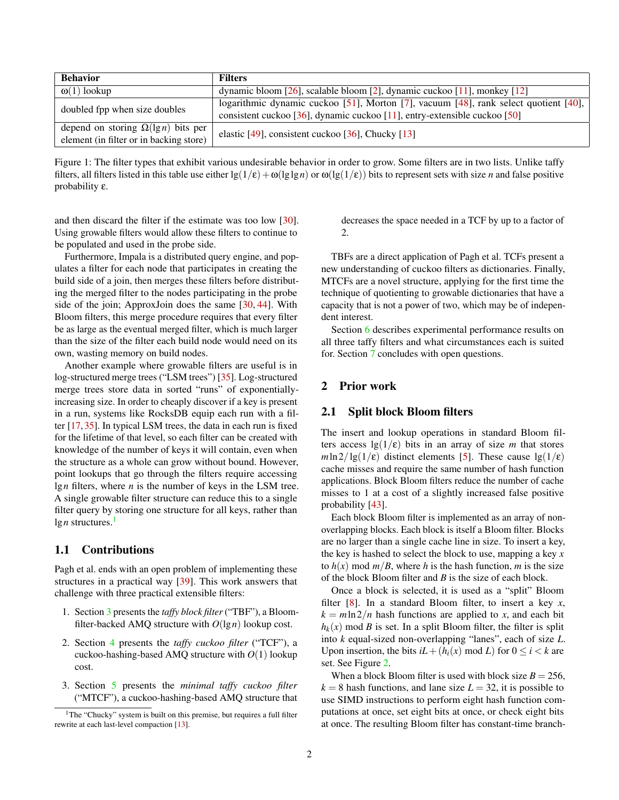<span id="page-1-0"></span>

| <b>Behavior</b>                            | <b>Filters</b>                                                                       |  |  |
|--------------------------------------------|--------------------------------------------------------------------------------------|--|--|
| $\omega(1)$ lookup                         | dynamic bloom [26], scalable bloom [2], dynamic cuckoo [11], monkey [12]             |  |  |
| doubled fpp when size doubles              | logarithmic dynamic cuckoo [51], Morton [7], vacuum [48], rank select quotient [40], |  |  |
|                                            | consistent cuckoo [36], dynamic cuckoo [11], entry-extensible cuckoo [50]            |  |  |
| depend on storing $\Omega(\lg n)$ bits per | elastic [49], consistent cuckoo [36], Chucky [13]                                    |  |  |
| element (in filter or in backing store)    |                                                                                      |  |  |

Figure 1: The filter types that exhibit various undesirable behavior in order to grow. Some filters are in two lists. Unlike taffy filters, all filters listed in this table use either  $\lg(1/\epsilon) + \omega(\lg \lg n)$  or  $\omega(\lg(1/\epsilon))$  bits to represent sets with size *n* and false positive probability ε.

and then discard the filter if the estimate was too low [\[30\]](#page-12-5). Using growable filters would allow these filters to continue to be populated and used in the probe side.

Furthermore, Impala is a distributed query engine, and populates a filter for each node that participates in creating the build side of a join, then merges these filters before distributing the merged filter to the nodes participating in the probe side of the join; ApproxJoin does the same [\[30,](#page-12-5) [44\]](#page-12-6). With Bloom filters, this merge procedure requires that every filter be as large as the eventual merged filter, which is much larger than the size of the filter each build node would need on its own, wasting memory on build nodes.

Another example where growable filters are useful is in log-structured merge trees ("LSM trees") [\[35\]](#page-12-7). Log-structured merge trees store data in sorted "runs" of exponentiallyincreasing size. In order to cheaply discover if a key is present in a run, systems like RocksDB equip each run with a filter [\[17,](#page-11-0) [35\]](#page-12-7). In typical LSM trees, the data in each run is fixed for the lifetime of that level, so each filter can be created with knowledge of the number of keys it will contain, even when the structure as a whole can grow without bound. However, point lookups that go through the filters require accessing lg*n* filters, where *n* is the number of keys in the LSM tree. A single growable filter structure can reduce this to a single filter query by storing one structure for all keys, rather than  $\lg n$  structures.<sup>[1](#page-1-1)</sup>

# 1.1 Contributions

Pagh et al. ends with an open problem of implementing these structures in a practical way [\[39\]](#page-12-3). This work answers that challenge with three practical extensible filters:

- 1. Section [3](#page-3-0) presents the *taffy block filter*("TBF"), a Bloomfilter-backed AMQ structure with  $O(\lg n)$  lookup cost.
- 2. Section [4](#page-4-0) presents the *taffy cuckoo filter* ("TCF"), a cuckoo-hashing-based AMQ structure with *O*(1) lookup cost.
- 3. Section [5](#page-5-0) presents the *minimal taffy cuckoo filter* ("MTCF"), a cuckoo-hashing-based AMQ structure that

decreases the space needed in a TCF by up to a factor of 2.

TBFs are a direct application of Pagh et al. TCFs present a new understanding of cuckoo filters as dictionaries. Finally, MTCFs are a novel structure, applying for the first time the technique of quotienting to growable dictionaries that have a capacity that is not a power of two, which may be of independent interest.

Section [6](#page-7-0) describes experimental performance results on all three taffy filters and what circumstances each is suited for. Section [7](#page-10-6) concludes with open questions.

# 2 Prior work

#### 2.1 Split block Bloom filters

The insert and lookup operations in standard Bloom filters access  $\lg(1/\epsilon)$  bits in an array of size *m* that stores  $m \ln 2/\lg(1/\epsilon)$  distinct elements [\[5\]](#page-10-7). These cause  $\lg(1/\epsilon)$ cache misses and require the same number of hash function applications. Block Bloom filters reduce the number of cache misses to 1 at a cost of a slightly increased false positive probability [\[43\]](#page-12-8).

Each block Bloom filter is implemented as an array of nonoverlapping blocks. Each block is itself a Bloom filter. Blocks are no larger than a single cache line in size. To insert a key, the key is hashed to select the block to use, mapping a key *x* to  $h(x)$  mod  $m/B$ , where *h* is the hash function, *m* is the size of the block Bloom filter and *B* is the size of each block.

Once a block is selected, it is used as a "split" Bloom filter [\[8\]](#page-11-2). In a standard Bloom filter, to insert a key *x*,  $k = m \ln 2/n$  hash functions are applied to *x*, and each bit  $h_k(x)$  mod *B* is set. In a split Bloom filter, the filter is split into *k* equal-sized non-overlapping "lanes", each of size *L*. Upon insertion, the bits  $iL + (h_i(x) \mod L)$  for  $0 \le i < k$  are set. See Figure [2.](#page-2-0)

When a block Bloom filter is used with block size  $B = 256$ ,  $k = 8$  hash functions, and lane size  $L = 32$ , it is possible to use SIMD instructions to perform eight hash function computations at once, set eight bits at once, or check eight bits at once. The resulting Bloom filter has constant-time branch-

<span id="page-1-1"></span><sup>&</sup>lt;sup>1</sup>The "Chucky" system is built on this premise, but requires a full filter rewrite at each last-level compaction [\[13\]](#page-11-11).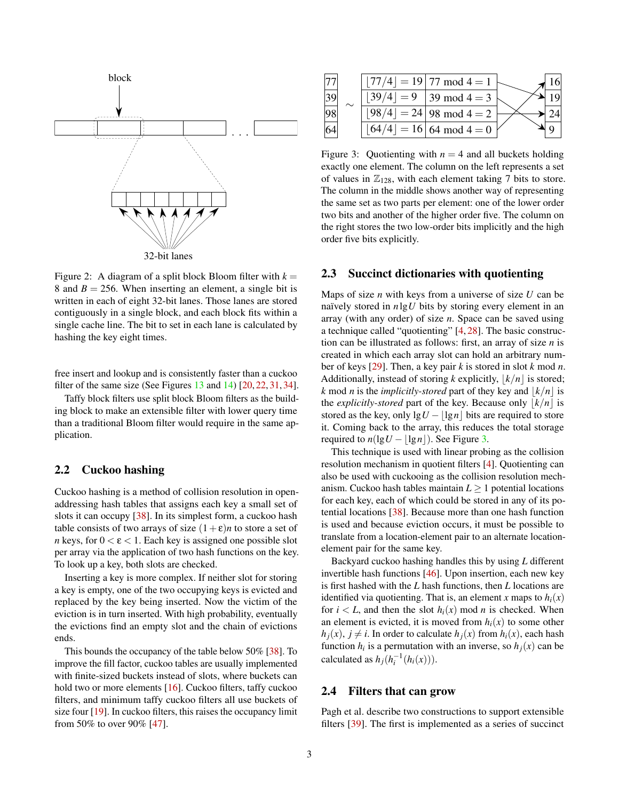<span id="page-2-0"></span>

Figure 2: A diagram of a split block Bloom filter with  $k =$ 8 and  $B = 256$ . When inserting an element, a single bit is written in each of eight 32-bit lanes. Those lanes are stored contiguously in a single block, and each block fits within a single cache line. The bit to set in each lane is calculated by hashing the key eight times.

free insert and lookup and is consistently faster than a cuckoo filter of the same size (See Figures  $13$  and  $14$ )  $[20, 22, 31, 34]$  $[20, 22, 31, 34]$  $[20, 22, 31, 34]$  $[20, 22, 31, 34]$  $[20, 22, 31, 34]$  $[20, 22, 31, 34]$  $[20, 22, 31, 34]$ .

Taffy block filters use split block Bloom filters as the building block to make an extensible filter with lower query time than a traditional Bloom filter would require in the same application.

# 2.2 Cuckoo hashing

Cuckoo hashing is a method of collision resolution in openaddressing hash tables that assigns each key a small set of slots it can occupy [\[38\]](#page-12-11). In its simplest form, a cuckoo hash table consists of two arrays of size  $(1+\varepsilon)n$  to store a set of *n* keys, for  $0 < \varepsilon < 1$ . Each key is assigned one possible slot per array via the application of two hash functions on the key. To look up a key, both slots are checked.

Inserting a key is more complex. If neither slot for storing a key is empty, one of the two occupying keys is evicted and replaced by the key being inserted. Now the victim of the eviction is in turn inserted. With high probability, eventually the evictions find an empty slot and the chain of evictions ends.

This bounds the occupancy of the table below 50% [\[38\]](#page-12-11). To improve the fill factor, cuckoo tables are usually implemented with finite-sized buckets instead of slots, where buckets can hold two or more elements [\[16\]](#page-11-14). Cuckoo filters, taffy cuckoo filters, and minimum taffy cuckoo filters all use buckets of size four [\[19\]](#page-11-15). In cuckoo filters, this raises the occupancy limit from 50% to over 90% [\[47\]](#page-12-12).

<span id="page-2-1"></span>

|    |           | $ 77/4 $ = 19   77 mod 4 = 1          |  |
|----|-----------|---------------------------------------|--|
| 39 | $ 4  = 9$ | 39 mod 4 = 3                          |  |
| 98 |           | $ 98/4  = 24   98 \text{ mod } 4 = 2$ |  |
| 64 |           | $ 4  = 16$ 64 mod 4 = 0               |  |

Figure 3: Quotienting with  $n = 4$  and all buckets holding exactly one element. The column on the left represents a set of values in  $\mathbb{Z}_{128}$ , with each element taking 7 bits to store. The column in the middle shows another way of representing the same set as two parts per element: one of the lower order two bits and another of the higher order five. The column on the right stores the two low-order bits implicitly and the high order five bits explicitly.

#### <span id="page-2-2"></span>2.3 Succinct dictionaries with quotienting

Maps of size *n* with keys from a universe of size *U* can be naïvely stored in *n*lg*U* bits by storing every element in an array (with any order) of size *n*. Space can be saved using a technique called "quotienting" [\[4,](#page-10-1) [28\]](#page-11-16). The basic construction can be illustrated as follows: first, an array of size *n* is created in which each array slot can hold an arbitrary number of keys [\[29\]](#page-11-17). Then, a key pair *k* is stored in slot *k* mod *n*. Additionally, instead of storing *k* explicitly,  $|k/n|$  is stored; *k* mod *n* is the *implicitly-stored* part of they key and  $\vert k/n \vert$  is the *explicitly-stored* part of the key. Because only  $\vert k/n \vert$  is stored as the key, only  $\lg U - |\lg n|$  bits are required to store it. Coming back to the array, this reduces the total storage required to  $n(\lg U - |\lg n|)$ . See Figure [3.](#page-2-1)

This technique is used with linear probing as the collision resolution mechanism in quotient filters [\[4\]](#page-10-1). Quotienting can also be used with cuckooing as the collision resolution mechanism. Cuckoo hash tables maintain  $L \geq 1$  potential locations for each key, each of which could be stored in any of its potential locations [\[38\]](#page-12-11). Because more than one hash function is used and because eviction occurs, it must be possible to translate from a location-element pair to an alternate locationelement pair for the same key.

Backyard cuckoo hashing handles this by using *L* different invertible hash functions [\[46\]](#page-12-13). Upon insertion, each new key is first hashed with the *L* hash functions, then *L* locations are identified via quotienting. That is, an element *x* maps to  $h_i(x)$ for  $i < L$ , and then the slot  $h_i(x)$  mod *n* is checked. When an element is evicted, it is moved from  $h_i(x)$  to some other  $h_i(x)$ ,  $j \neq i$ . In order to calculate  $h_i(x)$  from  $h_i(x)$ , each hash function  $h_i$  is a permutation with an inverse, so  $h_j(x)$  can be calculated as  $h_j(h_i^{-1}(h_i(x)))$ .

#### <span id="page-2-3"></span>2.4 Filters that can grow

Pagh et al. describe two constructions to support extensible filters [\[39\]](#page-12-3). The first is implemented as a series of succinct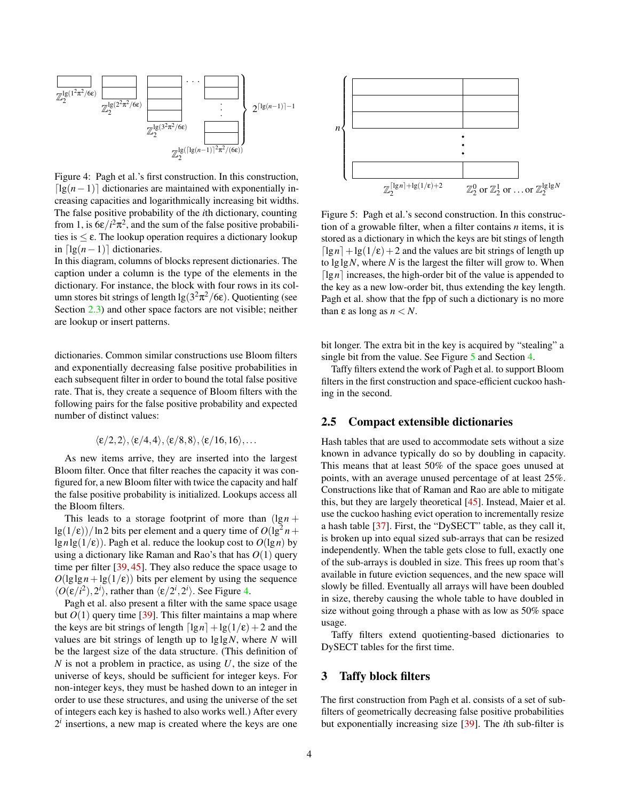<span id="page-3-1"></span>

Figure 4: Pagh et al.'s first construction. In this construction,  $\lceil \lg(n-1) \rceil$  dictionaries are maintained with exponentially increasing capacities and logarithmically increasing bit widths. The false positive probability of the *i*th dictionary, counting from 1, is  $6\varepsilon/i^2\pi^2$ , and the sum of the false positive probabilities is  $\leq \varepsilon$ . The lookup operation requires a dictionary lookup in  $\lceil \lg(n-1) \rceil$  dictionaries.

In this diagram, columns of blocks represent dictionaries. The caption under a column is the type of the elements in the dictionary. For instance, the block with four rows in its column stores bit strings of length  $\lg(3^2\pi^2/6\varepsilon)$ . Quotienting (see Section [2.3\)](#page-2-2) and other space factors are not visible; neither are lookup or insert patterns.

dictionaries. Common similar constructions use Bloom filters and exponentially decreasing false positive probabilities in each subsequent filter in order to bound the total false positive rate. That is, they create a sequence of Bloom filters with the following pairs for the false positive probability and expected number of distinct values:

$$
\langle \varepsilon/2,2\rangle,\langle \varepsilon/4,4\rangle,\langle \varepsilon/8,8\rangle,\langle \varepsilon/16,16\rangle,\ldots
$$

As new items arrive, they are inserted into the largest Bloom filter. Once that filter reaches the capacity it was configured for, a new Bloom filter with twice the capacity and half the false positive probability is initialized. Lookups access all the Bloom filters.

This leads to a storage footprint of more than  $(\lg n + \ldots)$  $\frac{lg(1/\epsilon)}{ln 2}$  bits per element and a query time of  $O(\lg^2 n +$  $\lg n \lg(1/\epsilon)$ ). Pagh et al. reduce the lookup cost to  $O(\lg n)$  by using a dictionary like Raman and Rao's that has *O*(1) query time per filter [\[39,](#page-12-3) [45\]](#page-12-14). They also reduce the space usage to  $O(\lg \lg n + \lg(1/\epsilon))$  bits per element by using the sequence  $\langle O(\varepsilon/i^2), 2^i \rangle$ , rather than  $\langle \varepsilon/2^i, 2^i \rangle$ . See Figure [4.](#page-3-1)

Pagh et al. also present a filter with the same space usage but  $O(1)$  query time [\[39\]](#page-12-3). This filter maintains a map where the keys are bit strings of length  $\lceil \lg n \rceil + \lg(1/\epsilon) + 2$  and the values are bit strings of length up to lglg*N*, where *N* will be the largest size of the data structure. (This definition of *N* is not a problem in practice, as using *U*, the size of the universe of keys, should be sufficient for integer keys. For non-integer keys, they must be hashed down to an integer in order to use these structures, and using the universe of the set of integers each key is hashed to also works well.) After every  $2<sup>i</sup>$  insertions, a new map is created where the keys are one

<span id="page-3-2"></span>

Figure 5: Pagh et al.'s second construction. In this construction of a growable filter, when a filter contains *n* items, it is stored as a dictionary in which the keys are bit stings of length  $\lceil \lg n \rceil + \lg(1/\epsilon) + 2$  and the values are bit strings of length up to lglg*N*, where *N* is the largest the filter will grow to. When  $\lceil \lg n \rceil$  increases, the high-order bit of the value is appended to the key as a new low-order bit, thus extending the key length. Pagh et al. show that the fpp of such a dictionary is no more than  $\varepsilon$  as long as  $n < N$ .

bit longer. The extra bit in the key is acquired by "stealing" a single bit from the value. See Figure [5](#page-3-2) and Section [4.](#page-4-0)

Taffy filters extend the work of Pagh et al. to support Bloom filters in the first construction and space-efficient cuckoo hashing in the second.

# 2.5 Compact extensible dictionaries

Hash tables that are used to accommodate sets without a size known in advance typically do so by doubling in capacity. This means that at least 50% of the space goes unused at points, with an average unused percentage of at least 25%. Constructions like that of Raman and Rao are able to mitigate this, but they are largely theoretical [\[45\]](#page-12-14). Instead, Maier et al. use the cuckoo hashing evict operation to incrementally resize a hash table [\[37\]](#page-12-15). First, the "DySECT" table, as they call it, is broken up into equal sized sub-arrays that can be resized independently. When the table gets close to full, exactly one of the sub-arrays is doubled in size. This frees up room that's available in future eviction sequences, and the new space will slowly be filled. Eventually all arrays will have been doubled in size, thereby causing the whole table to have doubled in size without going through a phase with as low as 50% space usage.

Taffy filters extend quotienting-based dictionaries to DySECT tables for the first time.

#### <span id="page-3-0"></span>3 Taffy block filters

The first construction from Pagh et al. consists of a set of subfilters of geometrically decreasing false positive probabilities but exponentially increasing size [\[39\]](#page-12-3). The *i*th sub-filter is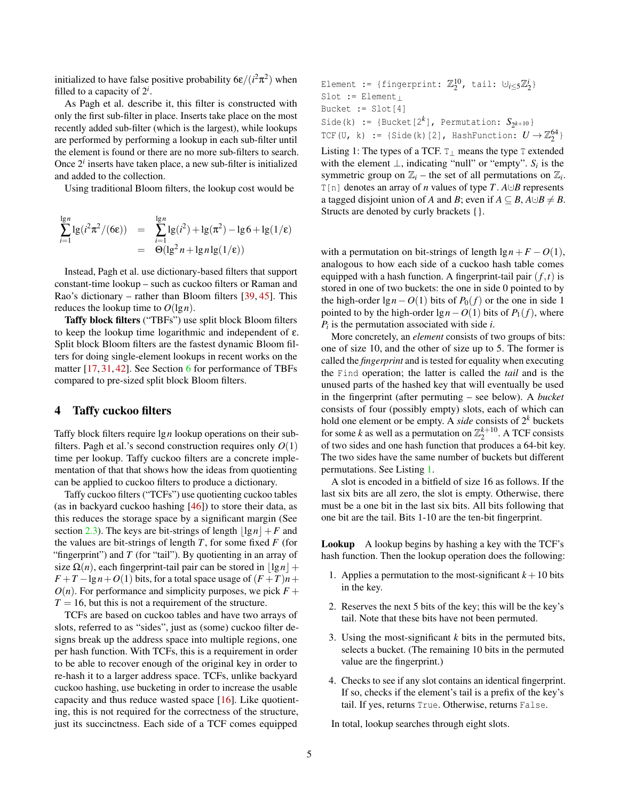initialized to have false positive probability  $6\varepsilon/(i^2\pi^2)$  when filled to a capacity of  $2^i$ .

As Pagh et al. describe it, this filter is constructed with only the first sub-filter in place. Inserts take place on the most recently added sub-filter (which is the largest), while lookups are performed by performing a lookup in each sub-filter until the element is found or there are no more sub-filters to search. Once  $2<sup>i</sup>$  inserts have taken place, a new sub-filter is initialized and added to the collection.

Using traditional Bloom filters, the lookup cost would be

$$
\sum_{i=1}^{\lg n} \lg(i^2 \pi^2 / (6\varepsilon)) = \sum_{i=1}^{\lg n} \lg(i^2) + \lg(\pi^2) - \lg 6 + \lg(1/\varepsilon)
$$
  
=  $\Theta(\lg^2 n + \lg n \lg(1/\varepsilon))$ 

Instead, Pagh et al. use dictionary-based filters that support constant-time lookup – such as cuckoo filters or Raman and Rao's dictionary – rather than Bloom filters [\[39,](#page-12-3) [45\]](#page-12-14). This reduces the lookup time to  $O(\lg n)$ .

Taffy block filters ("TBFs") use split block Bloom filters to keep the lookup time logarithmic and independent of ε. Split block Bloom filters are the fastest dynamic Bloom filters for doing single-element lookups in recent works on the matter [\[17,](#page-11-0) [31,](#page-12-9) [42\]](#page-12-16). See Section [6](#page-7-0) for performance of TBFs compared to pre-sized split block Bloom filters.

### <span id="page-4-0"></span>4 Taffy cuckoo filters

Taffy block filters require lg*n* lookup operations on their subfilters. Pagh et al.'s second construction requires only *O*(1) time per lookup. Taffy cuckoo filters are a concrete implementation of that that shows how the ideas from quotienting can be applied to cuckoo filters to produce a dictionary.

Taffy cuckoo filters ("TCFs") use quotienting cuckoo tables (as in backyard cuckoo hashing [\[46\]](#page-12-13)) to store their data, as this reduces the storage space by a significant margin (See section [2.3\)](#page-2-2). The keys are bit-strings of length  $|\lg n| + F$  and the values are bit-strings of length *T*, for some fixed *F* (for "fingerprint") and *T* (for "tail"). By quotienting in an array of size  $\Omega(n)$ , each fingerprint-tail pair can be stored in  $\left| \lg n \right| +$  $F + T - \lg n + O(1)$  bits, for a total space usage of  $(F + T)n +$  $O(n)$ . For performance and simplicity purposes, we pick  $F +$  $T = 16$ , but this is not a requirement of the structure.

TCFs are based on cuckoo tables and have two arrays of slots, referred to as "sides", just as (some) cuckoo filter designs break up the address space into multiple regions, one per hash function. With TCFs, this is a requirement in order to be able to recover enough of the original key in order to re-hash it to a larger address space. TCFs, unlike backyard cuckoo hashing, use bucketing in order to increase the usable capacity and thus reduce wasted space [\[16\]](#page-11-14). Like quotienting, this is not required for the correctness of the structure, just its succinctness. Each side of a TCF comes equipped

<span id="page-4-1"></span>Element := {fingerprint:  $\mathbb{Z}_2^{10}$ , tail: ∪<sub>i≤5</sub> $\mathbb{Z}_2^{i}$ } Slot := Element<sup>⊥</sup> Bucket := Slot[4] Side(k) := {Bucket[ $2^k$ ], Permutation:  $S_{2^{k+10}}$ } TCF(U, k) := {Side(k)[2], HashFunction:  $U \rightarrow \mathbb{Z}_2^{64}$  }

Listing 1: The types of a TCF.  $T_{\perp}$  means the type T extended with the element  $\perp$ , indicating "null" or "empty". *S<sub>i</sub>* is the symmetric group on  $\mathbb{Z}_i$  – the set of all permutations on  $\mathbb{Z}_i$ . T[n] denotes an array of *n* values of type *T*. *A*∪*B* represents a tagged disjoint union of *A* and *B*; even if  $A \subseteq B$ ,  $A \cup B \neq B$ . Structs are denoted by curly brackets {}.

with a permutation on bit-strings of length  $\lg n + F - O(1)$ , analogous to how each side of a cuckoo hash table comes equipped with a hash function. A fingerprint-tail pair  $(f, t)$  is stored in one of two buckets: the one in side 0 pointed to by the high-order  $\lg n - O(1)$  bits of  $P_0(f)$  or the one in side 1 pointed to by the high-order  $\lg n - O(1)$  bits of  $P_1(f)$ , where *Pi* is the permutation associated with side *i*.

More concretely, an *element* consists of two groups of bits: one of size 10, and the other of size up to 5. The former is called the *fingerprint* and is tested for equality when executing the Find operation; the latter is called the *tail* and is the unused parts of the hashed key that will eventually be used in the fingerprint (after permuting – see below). A *bucket* consists of four (possibly empty) slots, each of which can hold one element or be empty. A *side* consists of  $2^k$  buckets for some *k* as well as a permutation on  $\mathbb{Z}_2^{k+10}$ . A TCF consists of two sides and one hash function that produces a 64-bit key. The two sides have the same number of buckets but different permutations. See Listing [1.](#page-4-1)

A slot is encoded in a bitfield of size 16 as follows. If the last six bits are all zero, the slot is empty. Otherwise, there must be a one bit in the last six bits. All bits following that one bit are the tail. Bits 1-10 are the ten-bit fingerprint.

Lookup A lookup begins by hashing a key with the TCF's hash function. Then the lookup operation does the following:

- 1. Applies a permutation to the most-significant  $k+10$  bits in the key.
- 2. Reserves the next 5 bits of the key; this will be the key's tail. Note that these bits have not been permuted.
- 3. Using the most-significant *k* bits in the permuted bits, selects a bucket. (The remaining 10 bits in the permuted value are the fingerprint.)
- 4. Checks to see if any slot contains an identical fingerprint. If so, checks if the element's tail is a prefix of the key's tail. If yes, returns True. Otherwise, returns False.

In total, lookup searches through eight slots.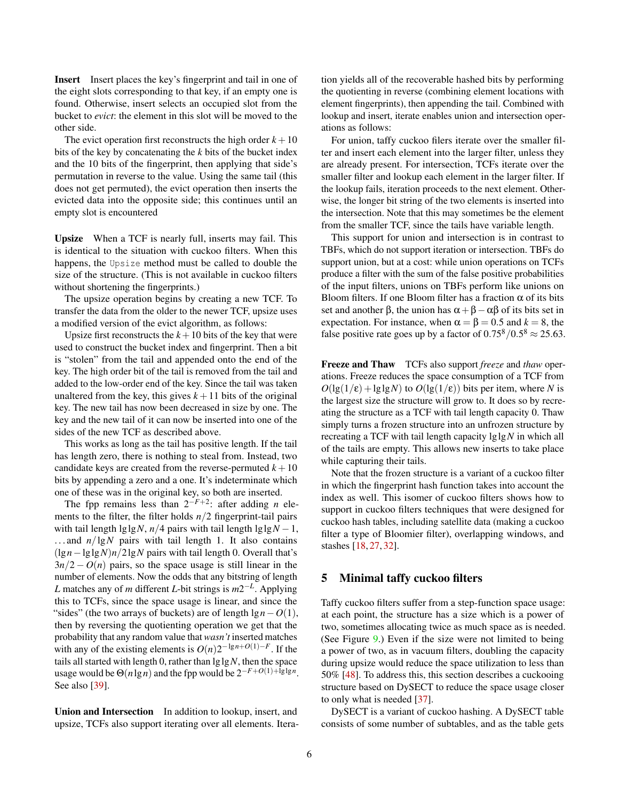Insert Insert places the key's fingerprint and tail in one of the eight slots corresponding to that key, if an empty one is found. Otherwise, insert selects an occupied slot from the bucket to *evict*: the element in this slot will be moved to the other side.

The evict operation first reconstructs the high order  $k + 10$ bits of the key by concatenating the *k* bits of the bucket index and the 10 bits of the fingerprint, then applying that side's permutation in reverse to the value. Using the same tail (this does not get permuted), the evict operation then inserts the evicted data into the opposite side; this continues until an empty slot is encountered

Upsize When a TCF is nearly full, inserts may fail. This is identical to the situation with cuckoo filters. When this happens, the Upsize method must be called to double the size of the structure. (This is not available in cuckoo filters without shortening the fingerprints.)

The upsize operation begins by creating a new TCF. To transfer the data from the older to the newer TCF, upsize uses a modified version of the evict algorithm, as follows:

Upsize first reconstructs the  $k+10$  bits of the key that were used to construct the bucket index and fingerprint. Then a bit is "stolen" from the tail and appended onto the end of the key. The high order bit of the tail is removed from the tail and added to the low-order end of the key. Since the tail was taken unaltered from the key, this gives  $k + 11$  bits of the original key. The new tail has now been decreased in size by one. The key and the new tail of it can now be inserted into one of the sides of the new TCF as described above.

This works as long as the tail has positive length. If the tail has length zero, there is nothing to steal from. Instead, two candidate keys are created from the reverse-permuted  $k + 10$ bits by appending a zero and a one. It's indeterminate which one of these was in the original key, so both are inserted.

The fpp remains less than  $2^{-F+2}$ : after adding *n* elements to the filter, the filter holds *n*/2 fingerprint-tail pairs with tail length  $\lg \lg N$ , *n*/4 pairs with tail length  $\lg \lg N - 1$ ,  $\ldots$  and  $n/\lg N$  pairs with tail length 1. It also contains (lg*n*−lglg*N*)*n*/2lg*N* pairs with tail length 0. Overall that's  $3n/2 - O(n)$  pairs, so the space usage is still linear in the number of elements. Now the odds that any bitstring of length *L* matches any of *m* different *L*-bit strings is *m*2 −*L* . Applying this to TCFs, since the space usage is linear, and since the "sides" (the two arrays of buckets) are of length lg*n*−*O*(1), then by reversing the quotienting operation we get that the probability that any random value that *wasn't* inserted matches with any of the existing elements is  $O(n)2^{-\lg n + O(1)-F}$ . If the tails all started with length 0, rather than  $\lg \lg N$ , then the space usage would be  $\Theta(n \lg n)$  and the fpp would be  $2^{-F+O(1)+\lg \lg n}$ . See also [\[39\]](#page-12-3).

Union and Intersection In addition to lookup, insert, and upsize, TCFs also support iterating over all elements. Iteration yields all of the recoverable hashed bits by performing the quotienting in reverse (combining element locations with element fingerprints), then appending the tail. Combined with lookup and insert, iterate enables union and intersection operations as follows:

For union, taffy cuckoo filers iterate over the smaller filter and insert each element into the larger filter, unless they are already present. For intersection, TCFs iterate over the smaller filter and lookup each element in the larger filter. If the lookup fails, iteration proceeds to the next element. Otherwise, the longer bit string of the two elements is inserted into the intersection. Note that this may sometimes be the element from the smaller TCF, since the tails have variable length.

This support for union and intersection is in contrast to TBFs, which do not support iteration or intersection. TBFs do support union, but at a cost: while union operations on TCFs produce a filter with the sum of the false positive probabilities of the input filters, unions on TBFs perform like unions on Bloom filters. If one Bloom filter has a fraction  $\alpha$  of its bits set and another  $\beta$ , the union has  $\alpha + \beta - \alpha\beta$  of its bits set in expectation. For instance, when  $\alpha = \beta = 0.5$  and  $k = 8$ , the false positive rate goes up by a factor of  $0.75^8/0.5^8 \approx 25.63$ .

Freeze and Thaw TCFs also support *freeze* and *thaw* operations. Freeze reduces the space consumption of a TCF from  $O(\lg(1/\epsilon) + \lg\lg N)$  to  $O(\lg(1/\epsilon))$  bits per item, where *N* is the largest size the structure will grow to. It does so by recreating the structure as a TCF with tail length capacity 0. Thaw simply turns a frozen structure into an unfrozen structure by recreating a TCF with tail length capacity lglg*N* in which all of the tails are empty. This allows new inserts to take place while capturing their tails.

Note that the frozen structure is a variant of a cuckoo filter in which the fingerprint hash function takes into account the index as well. This isomer of cuckoo filters shows how to support in cuckoo filters techniques that were designed for cuckoo hash tables, including satellite data (making a cuckoo filter a type of Bloomier filter), overlapping windows, and stashes [\[18,](#page-11-18) [27,](#page-11-19) [32\]](#page-12-17).

#### <span id="page-5-0"></span>5 Minimal taffy cuckoo filters

Taffy cuckoo filters suffer from a step-function space usage: at each point, the structure has a size which is a power of two, sometimes allocating twice as much space as is needed. (See Figure [9.](#page-8-0)) Even if the size were not limited to being a power of two, as in vacuum filters, doubling the capacity during upsize would reduce the space utilization to less than 50% [\[48\]](#page-12-1). To address this, this section describes a cuckooing structure based on DySECT to reduce the space usage closer to only what is needed [\[37\]](#page-12-15).

DySECT is a variant of cuckoo hashing. A DySECT table consists of some number of subtables, and as the table gets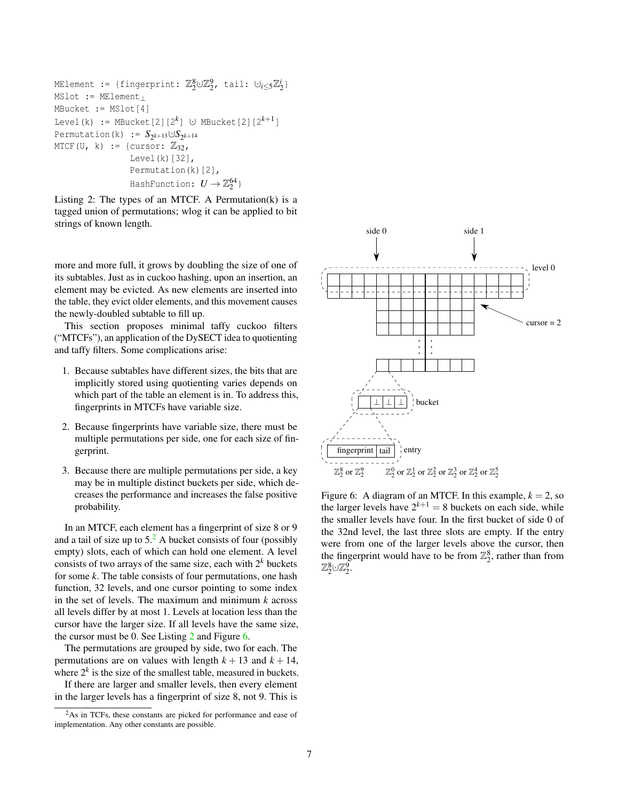```
MElement := {fingerprint: \mathbb{Z}_2^8 \cup \mathbb{Z}_2^9, tail: \cup_{i\leq 5} \mathbb{Z}_2^i}
MSlot := MElement⊥
MBucket := MSlot[4]
Level(k) := MBucket[2][2<sup>k</sup>] ∪ MBucket[2][2<sup>k+1</sup>]
Permutation(k) := S_{2^{k+13}} \cup S_{2^{k+14}}MTCF(U, k) := {cursor: \mathbb{Z}_{32},
                       Level(k)[32],
                       Permutation(k)[2],
                       HashFunction: U \rightarrow \mathbb{Z}_2^{64}
```
Listing 2: The types of an MTCF. A Permutation(k) is a tagged union of permutations; wlog it can be applied to bit strings of known length.

more and more full, it grows by doubling the size of one of its subtables. Just as in cuckoo hashing, upon an insertion, an element may be evicted. As new elements are inserted into the table, they evict older elements, and this movement causes the newly-doubled subtable to fill up.

This section proposes minimal taffy cuckoo filters ("MTCFs"), an application of the DySECT idea to quotienting and taffy filters. Some complications arise:

- 1. Because subtables have different sizes, the bits that are implicitly stored using quotienting varies depends on which part of the table an element is in. To address this, fingerprints in MTCFs have variable size.
- 2. Because fingerprints have variable size, there must be multiple permutations per side, one for each size of fingerprint.
- 3. Because there are multiple permutations per side, a key may be in multiple distinct buckets per side, which decreases the performance and increases the false positive probability.

In an MTCF, each element has a fingerprint of size 8 or 9 and a tail of size up to  $5<sup>2</sup>$  $5<sup>2</sup>$  $5<sup>2</sup>$ . A bucket consists of four (possibly empty) slots, each of which can hold one element. A level consists of two arrays of the same size, each with  $2^k$  buckets for some *k*. The table consists of four permutations, one hash function, 32 levels, and one cursor pointing to some index in the set of levels. The maximum and minimum *k* across all levels differ by at most 1. Levels at location less than the cursor have the larger size. If all levels have the same size, the cursor must be 0. See Listing [2](#page-6-1) and Figure [6.](#page-6-2)

The permutations are grouped by side, two for each. The permutations are on values with length  $k + 13$  and  $k + 14$ , where  $2^k$  is the size of the smallest table, measured in buckets.

If there are larger and smaller levels, then every element in the larger levels has a fingerprint of size 8, not 9. This is

<span id="page-6-2"></span>

Figure 6: A diagram of an MTCF. In this example,  $k = 2$ , so the larger levels have  $2^{k+1} = 8$  buckets on each side, while the smaller levels have four. In the first bucket of side 0 of the 32nd level, the last three slots are empty. If the entry were from one of the larger levels above the cursor, then the fingerprint would have to be from  $\mathbb{Z}_2^8$ , rather than from  $\mathbb{Z}_2^8$ ك $\mathbb{Z}_2^9$ .

<span id="page-6-0"></span><sup>&</sup>lt;sup>2</sup>As in TCFs, these constants are picked for performance and ease of implementation. Any other constants are possible.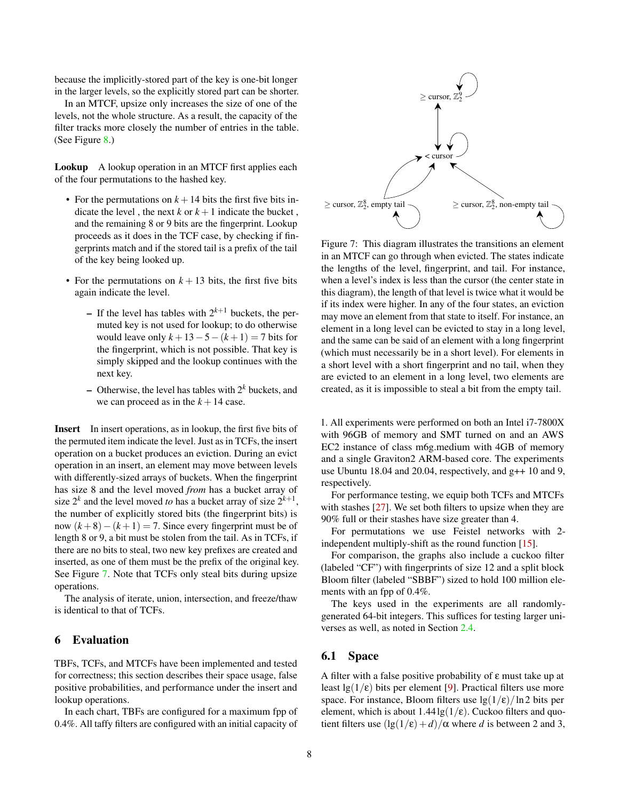because the implicitly-stored part of the key is one-bit longer in the larger levels, so the explicitly stored part can be shorter.

In an MTCF, upsize only increases the size of one of the levels, not the whole structure. As a result, the capacity of the filter tracks more closely the number of entries in the table. (See Figure [8.](#page-8-1))

Lookup A lookup operation in an MTCF first applies each of the four permutations to the hashed key.

- For the permutations on  $k + 14$  bits the first five bits indicate the level, the next  $k$  or  $k+1$  indicate the bucket, and the remaining 8 or 9 bits are the fingerprint. Lookup proceeds as it does in the TCF case, by checking if fingerprints match and if the stored tail is a prefix of the tail of the key being looked up.
- For the permutations on  $k + 13$  bits, the first five bits again indicate the level.
	- $-$  If the level has tables with  $2^{k+1}$  buckets, the permuted key is not used for lookup; to do otherwise would leave only  $k + 13 - 5 - (k + 1) = 7$  bits for the fingerprint, which is not possible. That key is simply skipped and the lookup continues with the next key.
	- $-$  Otherwise, the level has tables with  $2^k$  buckets, and we can proceed as in the  $k + 14$  case.

Insert In insert operations, as in lookup, the first five bits of the permuted item indicate the level. Just as in TCFs, the insert operation on a bucket produces an eviction. During an evict operation in an insert, an element may move between levels with differently-sized arrays of buckets. When the fingerprint has size 8 and the level moved *from* has a bucket array of size  $2^k$  and the level moved *to* has a bucket array of size  $2^{k+1}$ , the number of explicitly stored bits (the fingerprint bits) is now  $(k+8) - (k+1) = 7$ . Since every fingerprint must be of length 8 or 9, a bit must be stolen from the tail. As in TCFs, if there are no bits to steal, two new key prefixes are created and inserted, as one of them must be the prefix of the original key. See Figure [7.](#page-7-1) Note that TCFs only steal bits during upsize operations.

The analysis of iterate, union, intersection, and freeze/thaw is identical to that of TCFs.

#### <span id="page-7-0"></span>6 Evaluation

TBFs, TCFs, and MTCFs have been implemented and tested for correctness; this section describes their space usage, false positive probabilities, and performance under the insert and lookup operations.

In each chart, TBFs are configured for a maximum fpp of 0.4%. All taffy filters are configured with an initial capacity of

<span id="page-7-1"></span>

Figure 7: This diagram illustrates the transitions an element in an MTCF can go through when evicted. The states indicate the lengths of the level, fingerprint, and tail. For instance, when a level's index is less than the cursor (the center state in this diagram), the length of that level is twice what it would be if its index were higher. In any of the four states, an eviction may move an element from that state to itself. For instance, an element in a long level can be evicted to stay in a long level, and the same can be said of an element with a long fingerprint (which must necessarily be in a short level). For elements in a short level with a short fingerprint and no tail, when they are evicted to an element in a long level, two elements are created, as it is impossible to steal a bit from the empty tail.

1. All experiments were performed on both an Intel i7-7800X with 96GB of memory and SMT turned on and an AWS EC2 instance of class m6g.medium with 4GB of memory and a single Graviton2 ARM-based core. The experiments use Ubuntu 18.04 and 20.04, respectively, and g++ 10 and 9, respectively.

For performance testing, we equip both TCFs and MTCFs with stashes [\[27\]](#page-11-19). We set both filters to upsize when they are 90% full or their stashes have size greater than 4.

For permutations we use Feistel networks with 2 independent multiply-shift as the round function [\[15\]](#page-11-20).

For comparison, the graphs also include a cuckoo filter (labeled "CF") with fingerprints of size 12 and a split block Bloom filter (labeled "SBBF") sized to hold 100 million elements with an fpp of 0.4%.

The keys used in the experiments are all randomlygenerated 64-bit integers. This suffices for testing larger universes as well, as noted in Section [2.4.](#page-2-3)

# 6.1 Space

A filter with a false positive probability of ε must take up at least  $\lg(1/\epsilon)$  bits per element [\[9\]](#page-11-21). Practical filters use more space. For instance, Bloom filters use  $\frac{lg(1/\epsilon)}{ln 2}$  bits per element, which is about  $1.44\lg(1/\epsilon)$ . Cuckoo filters and quotient filters use  $(\lg(1/\epsilon) + d)/\alpha$  where *d* is between 2 and 3,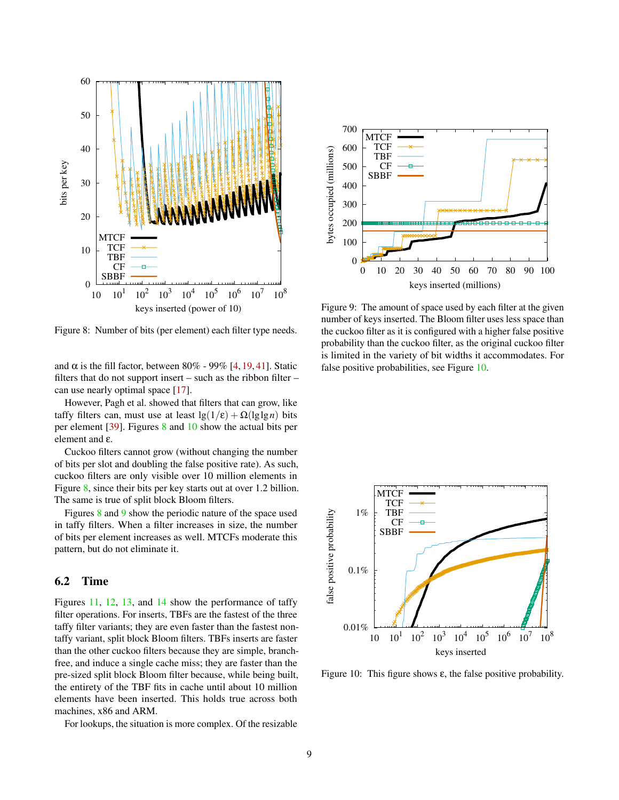<span id="page-8-1"></span>

Figure 8: Number of bits (per element) each filter type needs.

and  $\alpha$  is the fill factor, between 80% - 99% [\[4,](#page-10-1) [19,](#page-11-15) [41\]](#page-12-0). Static filters that do not support insert – such as the ribbon filter – can use nearly optimal space [\[17\]](#page-11-0).

However, Pagh et al. showed that filters that can grow, like taffy filters can, must use at least  $\lg(1/\epsilon) + \Omega(\lg \lg n)$  bits per element [\[39\]](#page-12-3). Figures [8](#page-8-1) and [10](#page-8-2) show the actual bits per element and ε.

Cuckoo filters cannot grow (without changing the number of bits per slot and doubling the false positive rate). As such, cuckoo filters are only visible over 10 million elements in Figure [8,](#page-8-1) since their bits per key starts out at over 1.2 billion. The same is true of split block Bloom filters.

Figures [8](#page-8-1) and [9](#page-8-0) show the periodic nature of the space used in taffy filters. When a filter increases in size, the number of bits per element increases as well. MTCFs moderate this pattern, but do not eliminate it.

#### 6.2 Time

Figures [11,](#page-9-1) [12,](#page-9-2) [13,](#page-9-0) and [14](#page-10-8) show the performance of taffy filter operations. For inserts, TBFs are the fastest of the three taffy filter variants; they are even faster than the fastest nontaffy variant, split block Bloom filters. TBFs inserts are faster than the other cuckoo filters because they are simple, branchfree, and induce a single cache miss; they are faster than the pre-sized split block Bloom filter because, while being built, the entirety of the TBF fits in cache until about 10 million elements have been inserted. This holds true across both machines, x86 and ARM.

For lookups, the situation is more complex. Of the resizable

<span id="page-8-0"></span>

Figure 9: The amount of space used by each filter at the given number of keys inserted. The Bloom filter uses less space than the cuckoo filter as it is configured with a higher false positive probability than the cuckoo filter, as the original cuckoo filter is limited in the variety of bit widths it accommodates. For false positive probabilities, see Figure [10.](#page-8-2)

<span id="page-8-2"></span>

Figure 10: This figure shows  $\varepsilon$ , the false positive probability.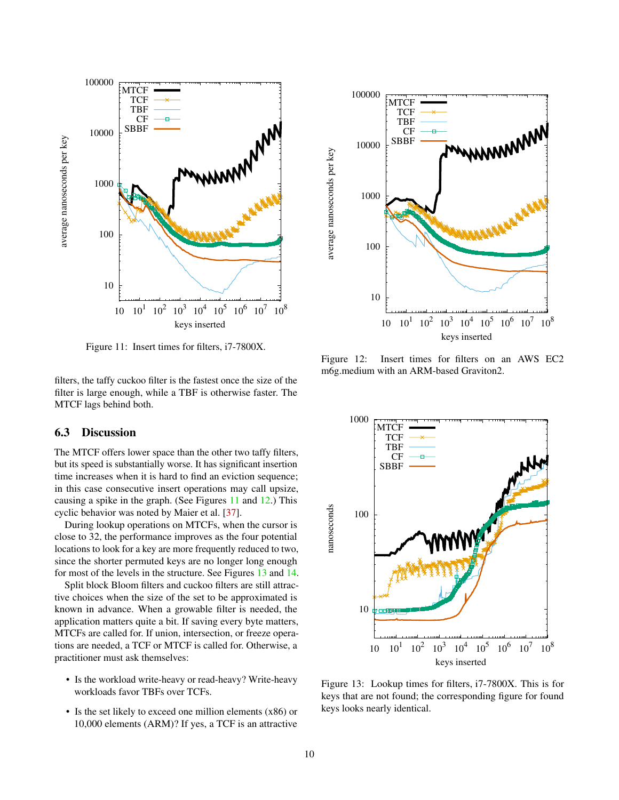<span id="page-9-1"></span>

Figure 11: Insert times for filters, i7-7800X.

filters, the taffy cuckoo filter is the fastest once the size of the filter is large enough, while a TBF is otherwise faster. The MTCF lags behind both.

# 6.3 Discussion

The MTCF offers lower space than the other two taffy filters, but its speed is substantially worse. It has significant insertion time increases when it is hard to find an eviction sequence; in this case consecutive insert operations may call upsize, causing a spike in the graph. (See Figures [11](#page-9-1) and [12.](#page-9-2)) This cyclic behavior was noted by Maier et al. [\[37\]](#page-12-15).

During lookup operations on MTCFs, when the cursor is close to 32, the performance improves as the four potential locations to look for a key are more frequently reduced to two, since the shorter permuted keys are no longer long enough for most of the levels in the structure. See Figures [13](#page-9-0) and [14.](#page-10-8)

Split block Bloom filters and cuckoo filters are still attractive choices when the size of the set to be approximated is known in advance. When a growable filter is needed, the application matters quite a bit. If saving every byte matters, MTCFs are called for. If union, intersection, or freeze operations are needed, a TCF or MTCF is called for. Otherwise, a practitioner must ask themselves:

- Is the workload write-heavy or read-heavy? Write-heavy workloads favor TBFs over TCFs.
- Is the set likely to exceed one million elements (x86) or 10,000 elements (ARM)? If yes, a TCF is an attractive

<span id="page-9-2"></span>

Figure 12: Insert times for filters on an AWS EC2 m6g.medium with an ARM-based Graviton2.

<span id="page-9-0"></span>

Figure 13: Lookup times for filters, i7-7800X. This is for keys that are not found; the corresponding figure for found keys looks nearly identical.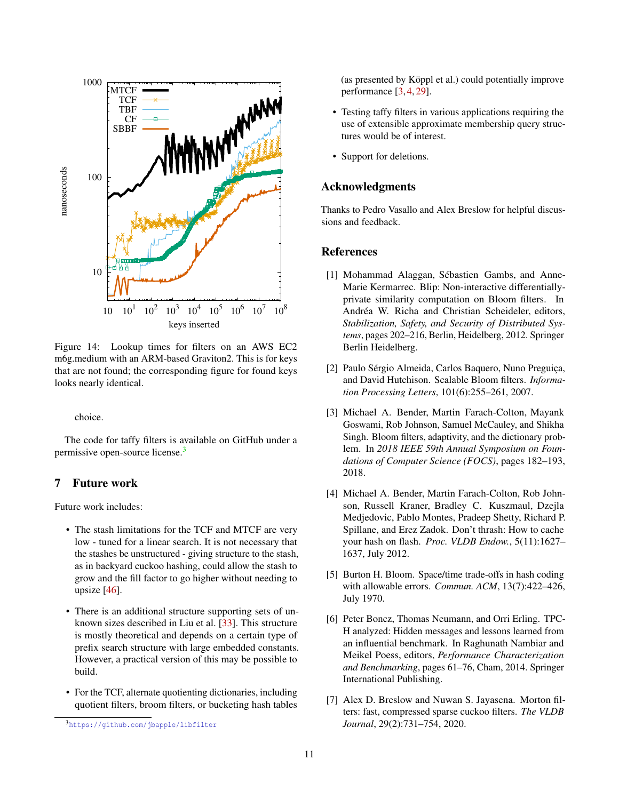<span id="page-10-8"></span>

Figure 14: Lookup times for filters on an AWS EC2 m6g.medium with an ARM-based Graviton2. This is for keys that are not found; the corresponding figure for found keys looks nearly identical.

choice.

The code for taffy filters is available on GitHub under a permissive open-source license.[3](#page-10-9)

# <span id="page-10-6"></span>7 Future work

Future work includes:

- The stash limitations for the TCF and MTCF are very low - tuned for a linear search. It is not necessary that the stashes be unstructured - giving structure to the stash, as in backyard cuckoo hashing, could allow the stash to grow and the fill factor to go higher without needing to upsize [\[46\]](#page-12-13).
- There is an additional structure supporting sets of unknown sizes described in Liu et al. [\[33\]](#page-12-18). This structure is mostly theoretical and depends on a certain type of prefix search structure with large embedded constants. However, a practical version of this may be possible to build.
- For the TCF, alternate quotienting dictionaries, including quotient filters, broom filters, or bucketing hash tables

(as presented by Köppl et al.) could potentially improve performance [\[3,](#page-10-0) [4,](#page-10-1) [29\]](#page-11-17).

- Testing taffy filters in various applications requiring the use of extensible approximate membership query structures would be of interest.
- Support for deletions.

### Acknowledgments

Thanks to Pedro Vasallo and Alex Breslow for helpful discussions and feedback.

# **References**

- <span id="page-10-3"></span>[1] Mohammad Alaggan, Sébastien Gambs, and Anne-Marie Kermarrec. Blip: Non-interactive differentiallyprivate similarity computation on Bloom filters. In Andréa W. Richa and Christian Scheideler, editors, *Stabilization, Safety, and Security of Distributed Systems*, pages 202–216, Berlin, Heidelberg, 2012. Springer Berlin Heidelberg.
- <span id="page-10-4"></span>[2] Paulo Sérgio Almeida, Carlos Baquero, Nuno Preguiça, and David Hutchison. Scalable Bloom filters. *Information Processing Letters*, 101(6):255–261, 2007.
- <span id="page-10-0"></span>[3] Michael A. Bender, Martin Farach-Colton, Mayank Goswami, Rob Johnson, Samuel McCauley, and Shikha Singh. Bloom filters, adaptivity, and the dictionary problem. In *2018 IEEE 59th Annual Symposium on Foundations of Computer Science (FOCS)*, pages 182–193, 2018.
- <span id="page-10-1"></span>[4] Michael A. Bender, Martin Farach-Colton, Rob Johnson, Russell Kraner, Bradley C. Kuszmaul, Dzejla Medjedovic, Pablo Montes, Pradeep Shetty, Richard P. Spillane, and Erez Zadok. Don't thrash: How to cache your hash on flash. *Proc. VLDB Endow.*, 5(11):1627– 1637, July 2012.
- <span id="page-10-7"></span>[5] Burton H. Bloom. Space/time trade-offs in hash coding with allowable errors. *Commun. ACM*, 13(7):422–426, July 1970.
- <span id="page-10-5"></span>[6] Peter Boncz, Thomas Neumann, and Orri Erling. TPC-H analyzed: Hidden messages and lessons learned from an influential benchmark. In Raghunath Nambiar and Meikel Poess, editors, *Performance Characterization and Benchmarking*, pages 61–76, Cham, 2014. Springer International Publishing.
- <span id="page-10-2"></span>[7] Alex D. Breslow and Nuwan S. Jayasena. Morton filters: fast, compressed sparse cuckoo filters. *The VLDB Journal*, 29(2):731–754, 2020.

<span id="page-10-9"></span><sup>3</sup>https://qithub.com/jbapple/libfilter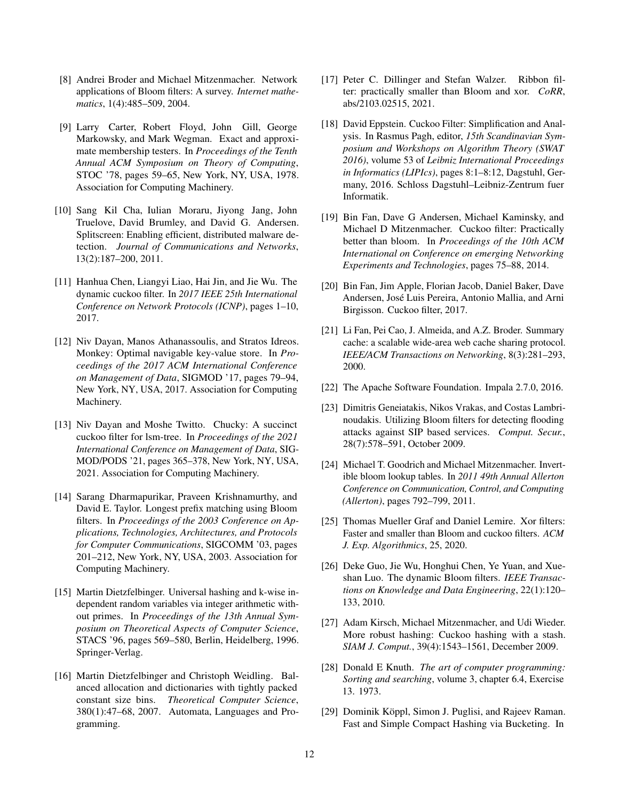- <span id="page-11-2"></span>[8] Andrei Broder and Michael Mitzenmacher. Network applications of Bloom filters: A survey. *Internet mathematics*, 1(4):485–509, 2004.
- <span id="page-11-21"></span>[9] Larry Carter, Robert Floyd, John Gill, George Markowsky, and Mark Wegman. Exact and approximate membership testers. In *Proceedings of the Tenth Annual ACM Symposium on Theory of Computing*, STOC '78, pages 59–65, New York, NY, USA, 1978. Association for Computing Machinery.
- <span id="page-11-3"></span>[10] Sang Kil Cha, Iulian Moraru, Jiyong Jang, John Truelove, David Brumley, and David G. Andersen. Splitscreen: Enabling efficient, distributed malware detection. *Journal of Communications and Networks*, 13(2):187–200, 2011.
- <span id="page-11-8"></span>[11] Hanhua Chen, Liangyi Liao, Hai Jin, and Jie Wu. The dynamic cuckoo filter. In *2017 IEEE 25th International Conference on Network Protocols (ICNP)*, pages 1–10, 2017.
- <span id="page-11-10"></span>[12] Niv Dayan, Manos Athanassoulis, and Stratos Idreos. Monkey: Optimal navigable key-value store. In *Proceedings of the 2017 ACM International Conference on Management of Data*, SIGMOD '17, pages 79–94, New York, NY, USA, 2017. Association for Computing Machinery.
- <span id="page-11-11"></span>[13] Niv Dayan and Moshe Twitto. Chucky: A succinct cuckoo filter for lsm-tree. In *Proceedings of the 2021 International Conference on Management of Data*, SIG-MOD/PODS '21, pages 365–378, New York, NY, USA, 2021. Association for Computing Machinery.
- <span id="page-11-4"></span>[14] Sarang Dharmapurikar, Praveen Krishnamurthy, and David E. Taylor. Longest prefix matching using Bloom filters. In *Proceedings of the 2003 Conference on Applications, Technologies, Architectures, and Protocols for Computer Communications*, SIGCOMM '03, pages 201–212, New York, NY, USA, 2003. Association for Computing Machinery.
- <span id="page-11-20"></span>[15] Martin Dietzfelbinger. Universal hashing and k-wise independent random variables via integer arithmetic without primes. In *Proceedings of the 13th Annual Symposium on Theoretical Aspects of Computer Science*, STACS '96, pages 569–580, Berlin, Heidelberg, 1996. Springer-Verlag.
- <span id="page-11-14"></span>[16] Martin Dietzfelbinger and Christoph Weidling. Balanced allocation and dictionaries with tightly packed constant size bins. *Theoretical Computer Science*, 380(1):47–68, 2007. Automata, Languages and Programming.
- <span id="page-11-0"></span>[17] Peter C. Dillinger and Stefan Walzer. Ribbon filter: practically smaller than Bloom and xor. *CoRR*, abs/2103.02515, 2021.
- <span id="page-11-18"></span>[18] David Eppstein. Cuckoo Filter: Simplification and Analysis. In Rasmus Pagh, editor, *15th Scandinavian Symposium and Workshops on Algorithm Theory (SWAT 2016)*, volume 53 of *Leibniz International Proceedings in Informatics (LIPIcs)*, pages 8:1–8:12, Dagstuhl, Germany, 2016. Schloss Dagstuhl–Leibniz-Zentrum fuer Informatik.
- <span id="page-11-15"></span>[19] Bin Fan, Dave G Andersen, Michael Kaminsky, and Michael D Mitzenmacher. Cuckoo filter: Practically better than bloom. In *Proceedings of the 10th ACM International on Conference on emerging Networking Experiments and Technologies*, pages 75–88, 2014.
- <span id="page-11-12"></span>[20] Bin Fan, Jim Apple, Florian Jacob, Daniel Baker, Dave Andersen, José Luis Pereira, Antonio Mallia, and Arni Birgisson. Cuckoo filter, 2017.
- <span id="page-11-5"></span>[21] Li Fan, Pei Cao, J. Almeida, and A.Z. Broder. Summary cache: a scalable wide-area web cache sharing protocol. *IEEE/ACM Transactions on Networking*, 8(3):281–293, 2000.
- <span id="page-11-13"></span>[22] The Apache Software Foundation. Impala 2.7.0, 2016.
- <span id="page-11-6"></span>[23] Dimitris Geneiatakis, Nikos Vrakas, and Costas Lambrinoudakis. Utilizing Bloom filters for detecting flooding attacks against SIP based services. *Comput. Secur.*, 28(7):578–591, October 2009.
- <span id="page-11-7"></span>[24] Michael T. Goodrich and Michael Mitzenmacher. Invertible bloom lookup tables. In *2011 49th Annual Allerton Conference on Communication, Control, and Computing (Allerton)*, pages 792–799, 2011.
- <span id="page-11-1"></span>[25] Thomas Mueller Graf and Daniel Lemire. Xor filters: Faster and smaller than Bloom and cuckoo filters. *ACM J. Exp. Algorithmics*, 25, 2020.
- <span id="page-11-9"></span>[26] Deke Guo, Jie Wu, Honghui Chen, Ye Yuan, and Xueshan Luo. The dynamic Bloom filters. *IEEE Transactions on Knowledge and Data Engineering*, 22(1):120– 133, 2010.
- <span id="page-11-19"></span>[27] Adam Kirsch, Michael Mitzenmacher, and Udi Wieder. More robust hashing: Cuckoo hashing with a stash. *SIAM J. Comput.*, 39(4):1543–1561, December 2009.
- <span id="page-11-16"></span>[28] Donald E Knuth. *The art of computer programming: Sorting and searching*, volume 3, chapter 6.4, Exercise 13. 1973.
- <span id="page-11-17"></span>[29] Dominik Köppl, Simon J. Puglisi, and Rajeev Raman. Fast and Simple Compact Hashing via Bucketing. In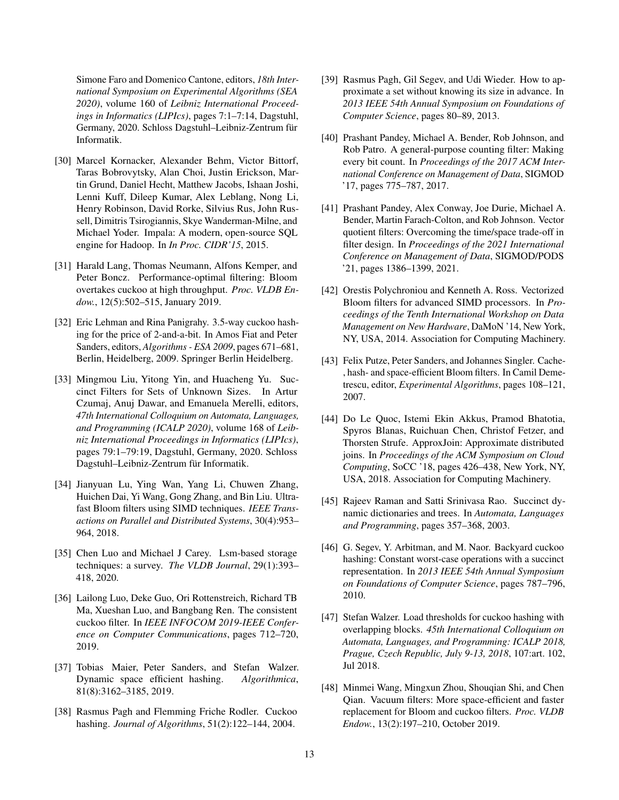Simone Faro and Domenico Cantone, editors, *18th International Symposium on Experimental Algorithms (SEA 2020)*, volume 160 of *Leibniz International Proceedings in Informatics (LIPIcs)*, pages 7:1–7:14, Dagstuhl, Germany, 2020. Schloss Dagstuhl–Leibniz-Zentrum für Informatik.

- <span id="page-12-5"></span>[30] Marcel Kornacker, Alexander Behm, Victor Bittorf, Taras Bobrovytsky, Alan Choi, Justin Erickson, Martin Grund, Daniel Hecht, Matthew Jacobs, Ishaan Joshi, Lenni Kuff, Dileep Kumar, Alex Leblang, Nong Li, Henry Robinson, David Rorke, Silvius Rus, John Russell, Dimitris Tsirogiannis, Skye Wanderman-Milne, and Michael Yoder. Impala: A modern, open-source SQL engine for Hadoop. In *In Proc. CIDR'15*, 2015.
- <span id="page-12-9"></span>[31] Harald Lang, Thomas Neumann, Alfons Kemper, and Peter Boncz. Performance-optimal filtering: Bloom overtakes cuckoo at high throughput. *Proc. VLDB Endow.*, 12(5):502–515, January 2019.
- <span id="page-12-17"></span>[32] Eric Lehman and Rina Panigrahy. 3.5-way cuckoo hashing for the price of 2-and-a-bit. In Amos Fiat and Peter Sanders, editors, *Algorithms - ESA 2009*, pages 671–681, Berlin, Heidelberg, 2009. Springer Berlin Heidelberg.
- <span id="page-12-18"></span>[33] Mingmou Liu, Yitong Yin, and Huacheng Yu. Succinct Filters for Sets of Unknown Sizes. In Artur Czumaj, Anuj Dawar, and Emanuela Merelli, editors, *47th International Colloquium on Automata, Languages, and Programming (ICALP 2020)*, volume 168 of *Leibniz International Proceedings in Informatics (LIPIcs)*, pages 79:1–79:19, Dagstuhl, Germany, 2020. Schloss Dagstuhl–Leibniz-Zentrum für Informatik.
- <span id="page-12-10"></span>[34] Jianyuan Lu, Ying Wan, Yang Li, Chuwen Zhang, Huichen Dai, Yi Wang, Gong Zhang, and Bin Liu. Ultrafast Bloom filters using SIMD techniques. *IEEE Transactions on Parallel and Distributed Systems*, 30(4):953– 964, 2018.
- <span id="page-12-7"></span>[35] Chen Luo and Michael J Carey. Lsm-based storage techniques: a survey. *The VLDB Journal*, 29(1):393– 418, 2020.
- <span id="page-12-2"></span>[36] Lailong Luo, Deke Guo, Ori Rottenstreich, Richard TB Ma, Xueshan Luo, and Bangbang Ren. The consistent cuckoo filter. In *IEEE INFOCOM 2019-IEEE Conference on Computer Communications*, pages 712–720, 2019.
- <span id="page-12-15"></span>[37] Tobias Maier, Peter Sanders, and Stefan Walzer. Dynamic space efficient hashing. *Algorithmica*, 81(8):3162–3185, 2019.
- <span id="page-12-11"></span>[38] Rasmus Pagh and Flemming Friche Rodler. Cuckoo hashing. *Journal of Algorithms*, 51(2):122–144, 2004.
- <span id="page-12-3"></span>[39] Rasmus Pagh, Gil Segev, and Udi Wieder. How to approximate a set without knowing its size in advance. In *2013 IEEE 54th Annual Symposium on Foundations of Computer Science*, pages 80–89, 2013.
- <span id="page-12-4"></span>[40] Prashant Pandey, Michael A. Bender, Rob Johnson, and Rob Patro. A general-purpose counting filter: Making every bit count. In *Proceedings of the 2017 ACM International Conference on Management of Data*, SIGMOD '17, pages 775–787, 2017.
- <span id="page-12-0"></span>[41] Prashant Pandey, Alex Conway, Joe Durie, Michael A. Bender, Martin Farach-Colton, and Rob Johnson. Vector quotient filters: Overcoming the time/space trade-off in filter design. In *Proceedings of the 2021 International Conference on Management of Data*, SIGMOD/PODS '21, pages 1386–1399, 2021.
- <span id="page-12-16"></span>[42] Orestis Polychroniou and Kenneth A. Ross. Vectorized Bloom filters for advanced SIMD processors. In *Proceedings of the Tenth International Workshop on Data Management on New Hardware*, DaMoN '14, New York, NY, USA, 2014. Association for Computing Machinery.
- <span id="page-12-8"></span>[43] Felix Putze, Peter Sanders, and Johannes Singler. Cache-, hash- and space-efficient Bloom filters. In Camil Demetrescu, editor, *Experimental Algorithms*, pages 108–121, 2007.
- <span id="page-12-6"></span>[44] Do Le Quoc, Istemi Ekin Akkus, Pramod Bhatotia, Spyros Blanas, Ruichuan Chen, Christof Fetzer, and Thorsten Strufe. ApproxJoin: Approximate distributed joins. In *Proceedings of the ACM Symposium on Cloud Computing*, SoCC '18, pages 426–438, New York, NY, USA, 2018. Association for Computing Machinery.
- <span id="page-12-14"></span>[45] Rajeev Raman and Satti Srinivasa Rao. Succinct dynamic dictionaries and trees. In *Automata, Languages and Programming*, pages 357–368, 2003.
- <span id="page-12-13"></span>[46] G. Segev, Y. Arbitman, and M. Naor. Backyard cuckoo hashing: Constant worst-case operations with a succinct representation. In *2013 IEEE 54th Annual Symposium on Foundations of Computer Science*, pages 787–796, 2010.
- <span id="page-12-12"></span>[47] Stefan Walzer. Load thresholds for cuckoo hashing with overlapping blocks. *45th International Colloquium on Automata, Languages, and Programming: ICALP 2018, Prague, Czech Republic, July 9-13, 2018*, 107:art. 102, Jul 2018.
- <span id="page-12-1"></span>[48] Minmei Wang, Mingxun Zhou, Shouqian Shi, and Chen Qian. Vacuum filters: More space-efficient and faster replacement for Bloom and cuckoo filters. *Proc. VLDB Endow.*, 13(2):197–210, October 2019.